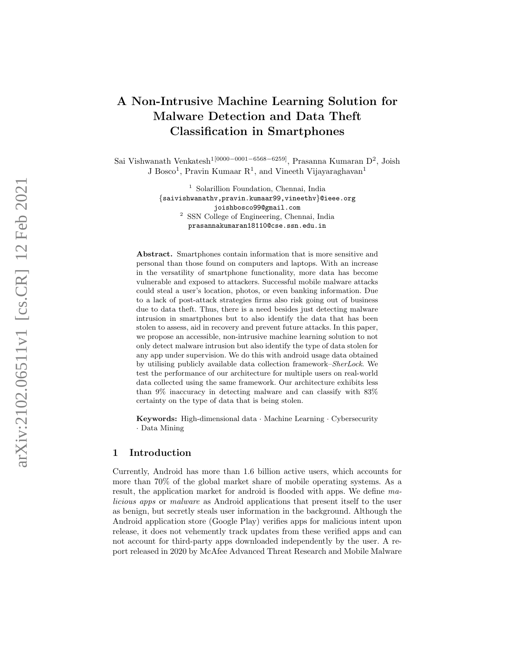# A Non-Intrusive Machine Learning Solution for Malware Detection and Data Theft Classification in Smartphones

Sai Vishwanath Venkatesh<sup>1[0000–0001–6568–6259]</sup>, Prasanna Kumaran D<sup>2</sup>, Joish J Bosco<sup>1</sup>, Pravin Kumaar R<sup>1</sup>, and Vineeth Vijayaraghavan<sup>1</sup>

> <sup>1</sup> Solarillion Foundation, Chennai, India {saivishwanathv,pravin.kumaar99,vineethv }@ieee.org joishbosco99@gmail.com <sup>2</sup> SSN College of Engineering, Chennai, India prasannakumaran18110@cse.ssn.edu.in

Abstract. Smartphones contain information that is more sensitive and personal than those found on computers and laptops. With an increase in the versatility of smartphone functionality, more data has become vulnerable and exposed to attackers. Successful mobile malware attacks could steal a user's location, photos, or even banking information. Due to a lack of post-attack strategies firms also risk going out of business due to data theft. Thus, there is a need besides just detecting malware intrusion in smartphones but to also identify the data that has been stolen to assess, aid in recovery and prevent future attacks. In this paper, we propose an accessible, non-intrusive machine learning solution to not only detect malware intrusion but also identify the type of data stolen for any app under supervision. We do this with android usage data obtained by utilising publicly available data collection framework–SherLock. We test the performance of our architecture for multiple users on real-world data collected using the same framework. Our architecture exhibits less than 9% inaccuracy in detecting malware and can classify with 83% certainty on the type of data that is being stolen.

Keywords: High-dimensional data · Machine Learning · Cybersecurity · Data Mining

# 1 Introduction

Currently, Android has more than 1.6 billion active users, which accounts for more than 70% of the global market share of mobile operating systems. As a result, the application market for android is flooded with apps. We define malicious apps or malware as Android applications that present itself to the user as benign, but secretly steals user information in the background. Although the Android application store (Google Play) verifies apps for malicious intent upon release, it does not vehemently track updates from these verified apps and can not account for third-party apps downloaded independently by the user. A report released in 2020 by McAfee Advanced Threat Research and Mobile Malware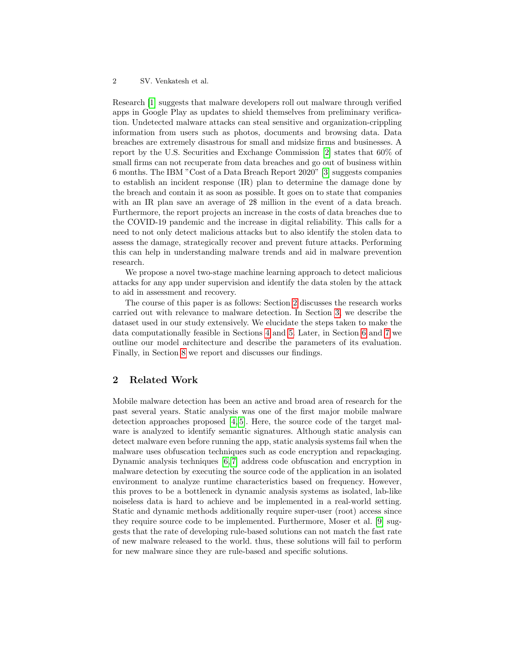Research [\[1\]](#page-12-0) suggests that malware developers roll out malware through verified apps in Google Play as updates to shield themselves from preliminary verification. Undetected malware attacks can steal sensitive and organization-crippling information from users such as photos, documents and browsing data. Data breaches are extremely disastrous for small and midsize firms and businesses. A report by the U.S. Securities and Exchange Commission [\[2\]](#page-12-1) states that 60% of small firms can not recuperate from data breaches and go out of business within 6 months. The IBM "Cost of a Data Breach Report 2020" [\[3\]](#page-12-2) suggests companies to establish an incident response (IR) plan to determine the damage done by the breach and contain it as soon as possible. It goes on to state that companies with an IR plan save an average of  $2\$  million in the event of a data breach. Furthermore, the report projects an increase in the costs of data breaches due to the COVID-19 pandemic and the increase in digital reliability. This calls for a need to not only detect malicious attacks but to also identify the stolen data to assess the damage, strategically recover and prevent future attacks. Performing this can help in understanding malware trends and aid in malware prevention research.

We propose a novel two-stage machine learning approach to detect malicious attacks for any app under supervision and identify the data stolen by the attack to aid in assessment and recovery.

The course of this paper is as follows: Section [2](#page-1-0) discusses the research works carried out with relevance to malware detection. In Section [3,](#page-2-0) we describe the dataset used in our study extensively. We elucidate the steps taken to make the data computationally feasible in Sections [4](#page-4-0) and [5.](#page-4-1) Later, in Section [6](#page-5-0) and [7](#page-6-0) we outline our model architecture and describe the parameters of its evaluation. Finally, in Section [8](#page-8-0) we report and discusses our findings.

# <span id="page-1-0"></span>2 Related Work

Mobile malware detection has been an active and broad area of research for the past several years. Static analysis was one of the first major mobile malware detection approaches proposed [\[4,](#page-12-3) [5\]](#page-12-4). Here, the source code of the target malware is analyzed to identify semantic signatures. Although static analysis can detect malware even before running the app, static analysis systems fail when the malware uses obfuscation techniques such as code encryption and repackaging. Dynamic analysis techniques [\[6,](#page-12-5) [7\]](#page-12-6) address code obfuscation and encryption in malware detection by executing the source code of the application in an isolated environment to analyze runtime characteristics based on frequency. However, this proves to be a bottleneck in dynamic analysis systems as isolated, lab-like noiseless data is hard to achieve and be implemented in a real-world setting. Static and dynamic methods additionally require super-user (root) access since they require source code to be implemented. Furthermore, Moser et al. [\[9\]](#page-12-7) suggests that the rate of developing rule-based solutions can not match the fast rate of new malware released to the world. thus, these solutions will fail to perform for new malware since they are rule-based and specific solutions.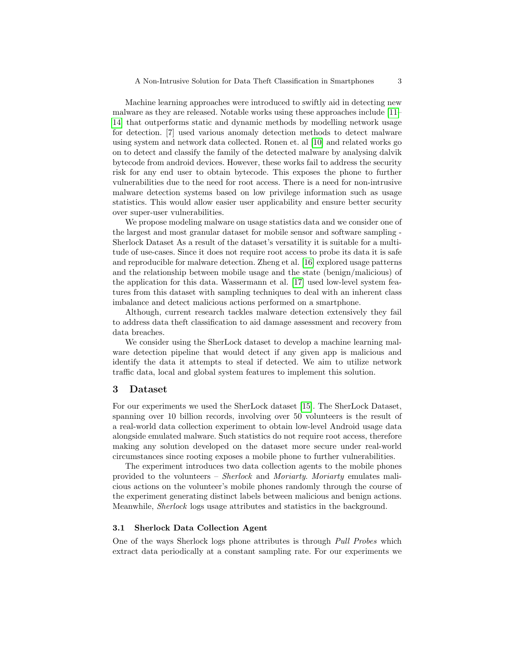Machine learning approaches were introduced to swiftly aid in detecting new malware as they are released. Notable works using these approaches include [\[11–](#page-12-8) [14\]](#page-12-9) that outperforms static and dynamic methods by modelling network usage for detection. [7] used various anomaly detection methods to detect malware using system and network data collected. Ronen et. al [\[10\]](#page-12-10) and related works go on to detect and classify the family of the detected malware by analysing dalvik bytecode from android devices. However, these works fail to address the security risk for any end user to obtain bytecode. This exposes the phone to further vulnerabilities due to the need for root access. There is a need for non-intrusive malware detection systems based on low privilege information such as usage statistics. This would allow easier user applicability and ensure better security over super-user vulnerabilities.

We propose modeling malware on usage statistics data and we consider one of the largest and most granular dataset for mobile sensor and software sampling - Sherlock Dataset As a result of the dataset's versatility it is suitable for a multitude of use-cases. Since it does not require root access to probe its data it is safe and reproducible for malware detection. Zheng et al. [\[16\]](#page-13-0) explored usage patterns and the relationship between mobile usage and the state (benign/malicious) of the application for this data. Wassermann et al. [\[17\]](#page-13-1) used low-level system features from this dataset with sampling techniques to deal with an inherent class imbalance and detect malicious actions performed on a smartphone.

Although, current research tackles malware detection extensively they fail to address data theft classification to aid damage assessment and recovery from data breaches.

We consider using the SherLock dataset to develop a machine learning malware detection pipeline that would detect if any given app is malicious and identify the data it attempts to steal if detected. We aim to utilize network traffic data, local and global system features to implement this solution.

#### <span id="page-2-0"></span>3 Dataset

For our experiments we used the SherLock dataset [\[15\]](#page-12-11). The SherLock Dataset, spanning over 10 billion records, involving over 50 volunteers is the result of a real-world data collection experiment to obtain low-level Android usage data alongside emulated malware. Such statistics do not require root access, therefore making any solution developed on the dataset more secure under real-world circumstances since rooting exposes a mobile phone to further vulnerabilities.

The experiment introduces two data collection agents to the mobile phones provided to the volunteers – Sherlock and Moriarty. Moriarty emulates malicious actions on the volunteer's mobile phones randomly through the course of the experiment generating distinct labels between malicious and benign actions. Meanwhile, Sherlock logs usage attributes and statistics in the background.

## 3.1 Sherlock Data Collection Agent

One of the ways Sherlock logs phone attributes is through Pull Probes which extract data periodically at a constant sampling rate. For our experiments we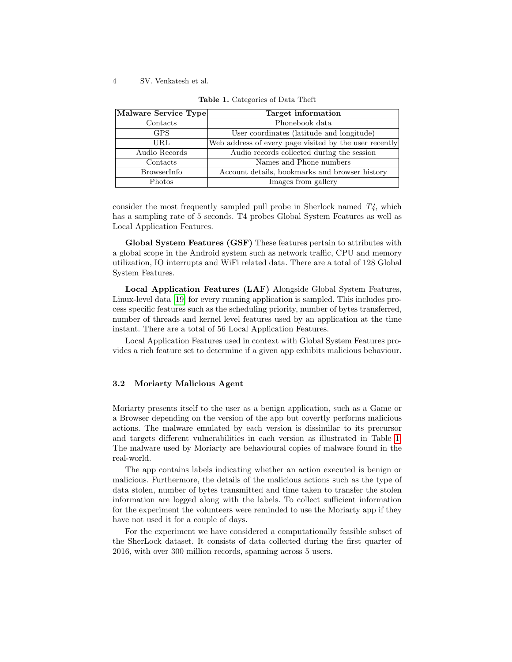| Malware Service Type | Target information                                     |
|----------------------|--------------------------------------------------------|
| Contacts             | Phonebook data                                         |
| <b>GPS</b>           | User coordinates (latitude and longitude)              |
| URL                  | Web address of every page visited by the user recently |
| Audio Records        | Audio records collected during the session             |
| Contacts             | Names and Phone numbers                                |
| <b>BrowserInfo</b>   | Account details, bookmarks and browser history         |
| Photos               | Images from gallery                                    |

<span id="page-3-0"></span>Table 1. Categories of Data Theft

consider the most frequently sampled pull probe in Sherlock named  $T\ddot{4}$ , which has a sampling rate of 5 seconds. T4 probes Global System Features as well as Local Application Features.

Global System Features (GSF) These features pertain to attributes with a global scope in the Android system such as network traffic, CPU and memory utilization, IO interrupts and WiFi related data. There are a total of 128 Global System Features.

Local Application Features (LAF) Alongside Global System Features, Linux-level data [\[19\]](#page-13-2) for every running application is sampled. This includes process specific features such as the scheduling priority, number of bytes transferred, number of threads and kernel level features used by an application at the time instant. There are a total of 56 Local Application Features.

Local Application Features used in context with Global System Features provides a rich feature set to determine if a given app exhibits malicious behaviour.

#### 3.2 Moriarty Malicious Agent

Moriarty presents itself to the user as a benign application, such as a Game or a Browser depending on the version of the app but covertly performs malicious actions. The malware emulated by each version is dissimilar to its precursor and targets different vulnerabilities in each version as illustrated in Table [1.](#page-3-0) The malware used by Moriarty are behavioural copies of malware found in the real-world.

The app contains labels indicating whether an action executed is benign or malicious. Furthermore, the details of the malicious actions such as the type of data stolen, number of bytes transmitted and time taken to transfer the stolen information are logged along with the labels. To collect sufficient information for the experiment the volunteers were reminded to use the Moriarty app if they have not used it for a couple of days.

For the experiment we have considered a computationally feasible subset of the SherLock dataset. It consists of data collected during the first quarter of 2016, with over 300 million records, spanning across 5 users.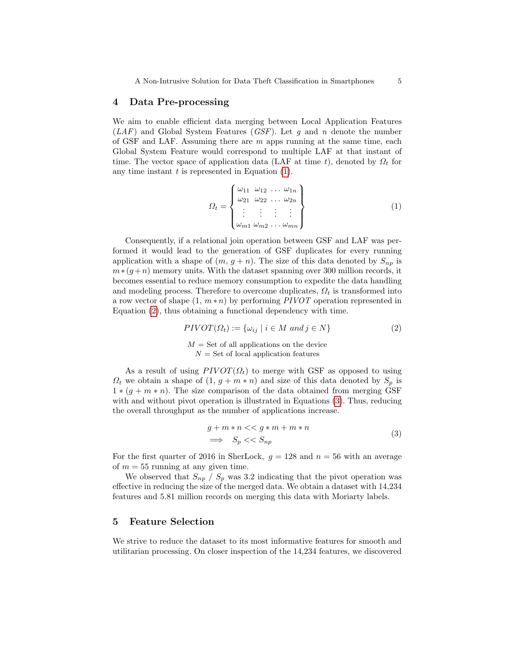## <span id="page-4-0"></span>4 Data Pre-processing

We aim to enable efficient data merging between Local Application Features  $(LAF)$  and Global System Features ( $GSF$ ). Let g and n denote the number of GSF and LAF. Assuming there are  $m$  apps running at the same time, each Global System Feature would correspond to multiple LAF at that instant of time. The vector space of application data (LAF at time t), denoted by  $\Omega_t$  for any time instant  $t$  is represented in Equation  $(1)$ .

<span id="page-4-2"></span>
$$
\Omega_t = \begin{Bmatrix} \omega_{11} & \omega_{12} & \dots & \omega_{1n} \\ \omega_{21} & \omega_{22} & \dots & \omega_{2n} \\ \vdots & \vdots & \vdots & \vdots \\ \omega_{m1} & \omega_{m2} & \dots & \omega_{mn} \end{Bmatrix} \tag{1}
$$

Consequently, if a relational join operation between GSF and LAF was performed it would lead to the generation of GSF duplicates for every running application with a shape of  $(m, g + n)$ . The size of this data denoted by  $S_{np}$  is  $m*(g+n)$  memory units. With the dataset spanning over 300 million records, it becomes essential to reduce memory consumption to expedite the data handling and modeling process. Therefore to overcome duplicates,  $\Omega_t$  is transformed into a row vector of shape  $(1, m*n)$  by performing PIVOT operation represented in Equation [\(2\)](#page-4-3), thus obtaining a functional dependency with time.

<span id="page-4-3"></span>
$$
PIVOT(\Omega_t) := \{ \omega_{ij} \mid i \in M \text{ and } j \in N \}
$$
\n
$$
M = \text{Set of all applications on the device}
$$
\n
$$
N = \text{Set of local application features}
$$
\n
$$
N = \text{Set of local application features}
$$

As a result of using  $PIVOT(\Omega_t)$  to merge with GSF as opposed to using  $\Omega_t$  we obtain a shape of  $(1, g + m * n)$  and size of this data denoted by  $S_p$  is  $1 * (g + m * n)$ . The size comparison of the data obtained from merging GSF with and without pivot operation is illustrated in Equations [\(3\)](#page-4-4). Thus, reducing the overall throughput as the number of applications increase.

$$
g + m * n \ll g * m + m * n
$$
  

$$
\implies S_p \ll S_{np}
$$
 (3)

<span id="page-4-4"></span>For the first quarter of 2016 in SherLock,  $g = 128$  and  $n = 56$  with an average of  $m = 55$  running at any given time.

We observed that  $S_{np} / S_p$  was 3.2 indicating that the pivot operation was effective in reducing the size of the merged data. We obtain a dataset with 14,234 features and 5.81 million records on merging this data with Moriarty labels.

## <span id="page-4-1"></span>5 Feature Selection

We strive to reduce the dataset to its most informative features for smooth and utilitarian processing. On closer inspection of the 14,234 features, we discovered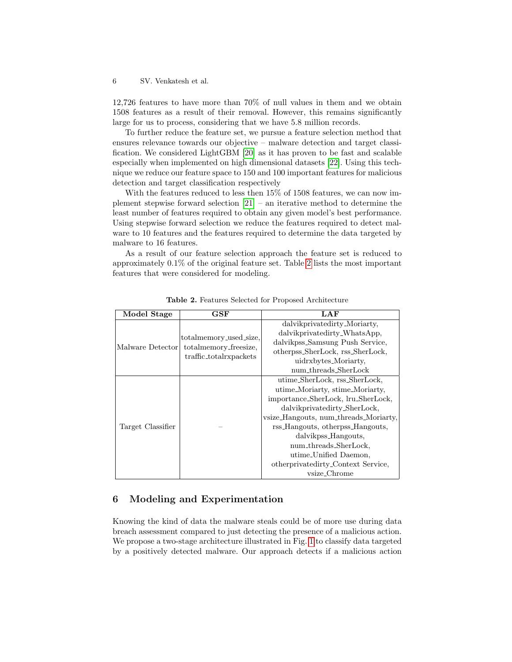12,726 features to have more than 70% of null values in them and we obtain 1508 features as a result of their removal. However, this remains significantly large for us to process, considering that we have 5.8 million records.

To further reduce the feature set, we pursue a feature selection method that ensures relevance towards our objective – malware detection and target classification. We considered LightGBM [\[20\]](#page-13-3) as it has proven to be fast and scalable especially when implemented on high dimensional datasets [\[22\]](#page-13-4). Using this technique we reduce our feature space to 150 and 100 important features for malicious detection and target classification respectively

With the features reduced to less then 15% of 1508 features, we can now implement stepwise forward selection [\[21\]](#page-13-5) – an iterative method to determine the least number of features required to obtain any given model's best performance. Using stepwise forward selection we reduce the features required to detect malware to 10 features and the features required to determine the data targeted by malware to 16 features.

As a result of our feature selection approach the feature set is reduced to approximately 0.1% of the original feature set. Table [2](#page-5-1) lists the most important features that were considered for modeling.

| Model Stage       | GSF                                                                       | LAF                                                                   |  |  |
|-------------------|---------------------------------------------------------------------------|-----------------------------------------------------------------------|--|--|
| Malware Detector  |                                                                           | dalvikprivatedirty_Moriarty,                                          |  |  |
|                   | totalmemory_used_size,<br>totalmemory_freesize,<br>traffic_totalrxpackets | dalvikprivatedirty_WhatsApp,                                          |  |  |
|                   |                                                                           | dalvikpss_Samsung Push Service,                                       |  |  |
|                   |                                                                           | otherpss_SherLock, rss_SherLock,                                      |  |  |
|                   |                                                                           | uidrxbytes_Moriarty.                                                  |  |  |
|                   |                                                                           | num_threads_SherLock                                                  |  |  |
| Target Classifier |                                                                           | utime_SherLock, rss_SherLock,                                         |  |  |
|                   |                                                                           | utime_Moriarty, stime_Moriarty,                                       |  |  |
|                   |                                                                           | importance_SherLock, lru_SherLock,                                    |  |  |
|                   |                                                                           | dalvikprivatedirty_SherLock,<br>vsize_Hangouts, num_threads_Moriarty, |  |  |
|                   |                                                                           |                                                                       |  |  |
|                   |                                                                           | rss_Hangouts, otherpss_Hangouts,                                      |  |  |
|                   |                                                                           | dalvikpss_Hangouts,                                                   |  |  |
|                   |                                                                           | num_threads_SherLock,                                                 |  |  |
|                   |                                                                           | utime_Unified Daemon,                                                 |  |  |
|                   |                                                                           | otherprivatedirty_Context Service,                                    |  |  |
|                   |                                                                           | vsize_Chrome                                                          |  |  |

<span id="page-5-1"></span>Table 2. Features Selected for Proposed Architecture

# <span id="page-5-0"></span>6 Modeling and Experimentation

Knowing the kind of data the malware steals could be of more use during data breach assessment compared to just detecting the presence of a malicious action. We propose a two-stage architecture illustrated in Fig. [1](#page-6-1) to classify data targeted by a positively detected malware. Our approach detects if a malicious action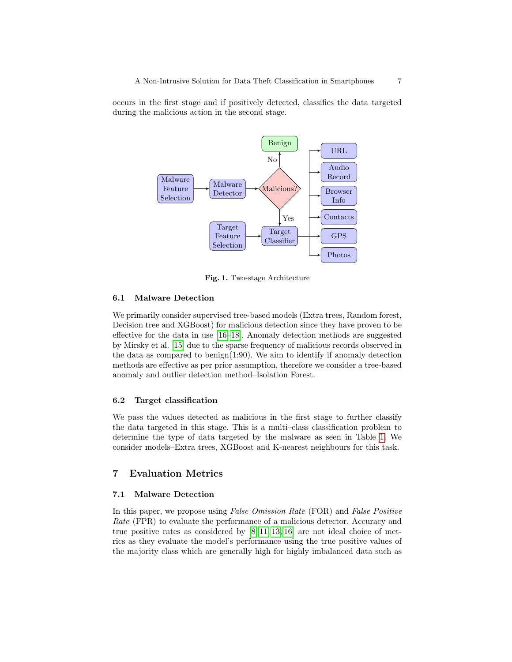occurs in the first stage and if positively detected, classifies the data targeted during the malicious action in the second stage.



<span id="page-6-1"></span>Fig. 1. Two-stage Architecture

## 6.1 Malware Detection

We primarily consider supervised tree-based models (Extra trees, Random forest, Decision tree and XGBoost) for malicious detection since they have proven to be effective for the data in use [\[16](#page-13-0)[–18\]](#page-13-6). Anomaly detection methods are suggested by Mirsky et al. [\[15\]](#page-12-11) due to the sparse frequency of malicious records observed in the data as compared to benign(1:90). We aim to identify if anomaly detection methods are effective as per prior assumption, therefore we consider a tree-based anomaly and outlier detection method–Isolation Forest.

## 6.2 Target classification

We pass the values detected as malicious in the first stage to further classify the data targeted in this stage. This is a multi–class classification problem to determine the type of data targeted by the malware as seen in Table [1.](#page-3-0) We consider models–Extra trees, XGBoost and K-nearest neighbours for this task.

## <span id="page-6-0"></span>7 Evaluation Metrics

## <span id="page-6-2"></span>7.1 Malware Detection

In this paper, we propose using *False Omission Rate* (FOR) and *False Positive* Rate (FPR) to evaluate the performance of a malicious detector. Accuracy and true positive rates as considered by  $[8, 11, 13, 16]$  $[8, 11, 13, 16]$  $[8, 11, 13, 16]$  $[8, 11, 13, 16]$  are not ideal choice of metrics as they evaluate the model's performance using the true positive values of the majority class which are generally high for highly imbalanced data such as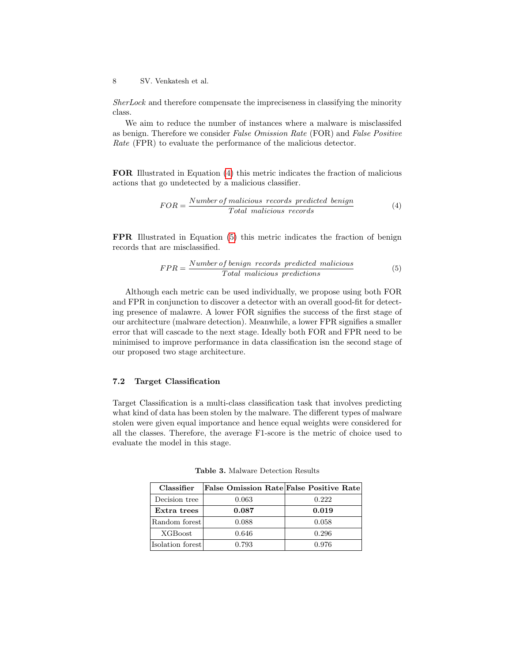SherLock and therefore compensate the impreciseness in classifying the minority class.

We aim to reduce the number of instances where a malware is misclassifed as benign. Therefore we consider False Omission Rate (FOR) and False Positive Rate (FPR) to evaluate the performance of the malicious detector.

FOR Illustrated in Equation [\(4\)](#page-7-0) this metric indicates the fraction of malicious actions that go undetected by a malicious classifier.

<span id="page-7-0"></span>
$$
FOR = \frac{Number\ of\ malicious\ records\ predicted\ benign}{Total\ malicious\ records}
$$
 (4)

FPR Illustrated in Equation [\(5\)](#page-7-1) this metric indicates the fraction of benign records that are misclassified.

<span id="page-7-1"></span>
$$
FPR = \frac{Number\ of\ benign\ records\ predicted\ malicious}{Total\ malicious\ predictions}
$$
\n(5)

Although each metric can be used individually, we propose using both FOR and FPR in conjunction to discover a detector with an overall good-fit for detecting presence of malawre. A lower FOR signifies the success of the first stage of our architecture (malware detection). Meanwhile, a lower FPR signifies a smaller error that will cascade to the next stage. Ideally both FOR and FPR need to be minimised to improve performance in data classification isn the second stage of our proposed two stage architecture.

## 7.2 Target Classification

Target Classification is a multi-class classification task that involves predicting what kind of data has been stolen by the malware. The different types of malware stolen were given equal importance and hence equal weights were considered for all the classes. Therefore, the average F1-score is the metric of choice used to evaluate the model in this stage.

| Classifier       | <b>False Omission Rate False Positive Rate</b> |       |
|------------------|------------------------------------------------|-------|
| Decision tree    | 0.063                                          | 0.222 |
| Extra trees      | 0.087                                          | 0.019 |
| Random forest    | 0.088                                          | 0.058 |
| <b>XGBoost</b>   | 0.646                                          | 0.296 |
| Isolation forest | 0.793                                          | 0.976 |

<span id="page-7-2"></span>Table 3. Malware Detection Results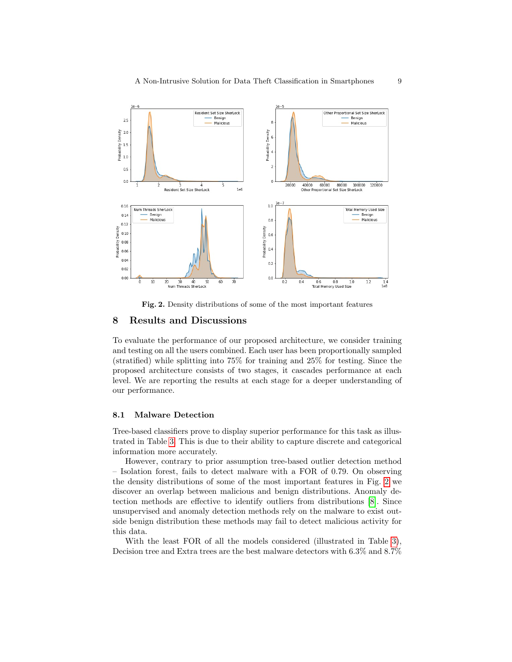

<span id="page-8-1"></span>Fig. 2. Density distributions of some of the most important features

## <span id="page-8-0"></span>8 Results and Discussions

To evaluate the performance of our proposed architecture, we consider training and testing on all the users combined. Each user has been proportionally sampled (stratified) while splitting into 75% for training and 25% for testing. Since the proposed architecture consists of two stages, it cascades performance at each level. We are reporting the results at each stage for a deeper understanding of our performance.

#### 8.1 Malware Detection

Tree-based classifiers prove to display superior performance for this task as illustrated in Table [3.](#page-7-2) This is due to their ability to capture discrete and categorical information more accurately.

However, contrary to prior assumption tree-based outlier detection method – Isolation forest, fails to detect malware with a FOR of 0.79. On observing the density distributions of some of the most important features in Fig. [2](#page-8-1) we discover an overlap between malicious and benign distributions. Anomaly detection methods are effective to identify outliers from distributions [\[8\]](#page-12-12). Since unsupervised and anomaly detection methods rely on the malware to exist outside benign distribution these methods may fail to detect malicious activity for this data.

With the least FOR of all the models considered (illustrated in Table [3\)](#page-7-2), Decision tree and Extra trees are the best malware detectors with 6.3% and 8.7%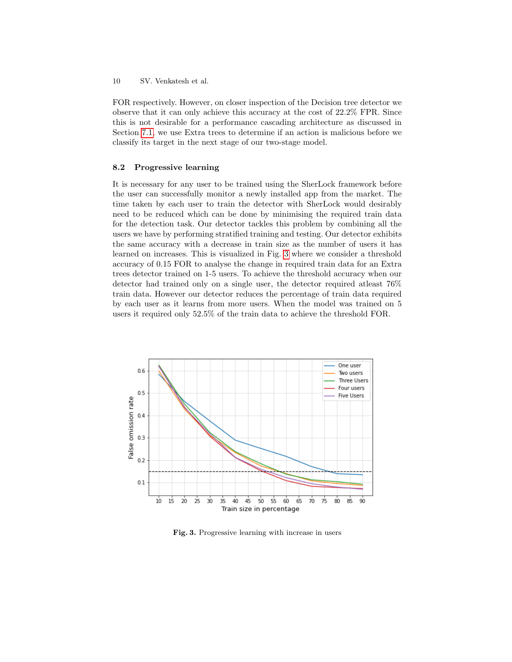FOR respectively. However, on closer inspection of the Decision tree detector we observe that it can only achieve this accuracy at the cost of 22.2% FPR. Since this is not desirable for a performance cascading architecture as discussed in Section [7.1,](#page-6-2) we use Extra trees to determine if an action is malicious before we classify its target in the next stage of our two-stage model.

#### 8.2 Progressive learning

It is necessary for any user to be trained using the SherLock framework before the user can successfully monitor a newly installed app from the market. The time taken by each user to train the detector with SherLock would desirably need to be reduced which can be done by minimising the required train data for the detection task. Our detector tackles this problem by combining all the users we have by performing stratified training and testing. Our detector exhibits the same accuracy with a decrease in train size as the number of users it has learned on increases. This is visualized in Fig. [3](#page-9-0) where we consider a threshold accuracy of 0.15 FOR to analyse the change in required train data for an Extra trees detector trained on 1-5 users. To achieve the threshold accuracy when our detector had trained only on a single user, the detector required atleast 76% train data. However our detector reduces the percentage of train data required by each user as it learns from more users. When the model was trained on 5 users it required only 52.5% of the train data to achieve the threshold FOR.



<span id="page-9-0"></span>Fig. 3. Progressive learning with increase in users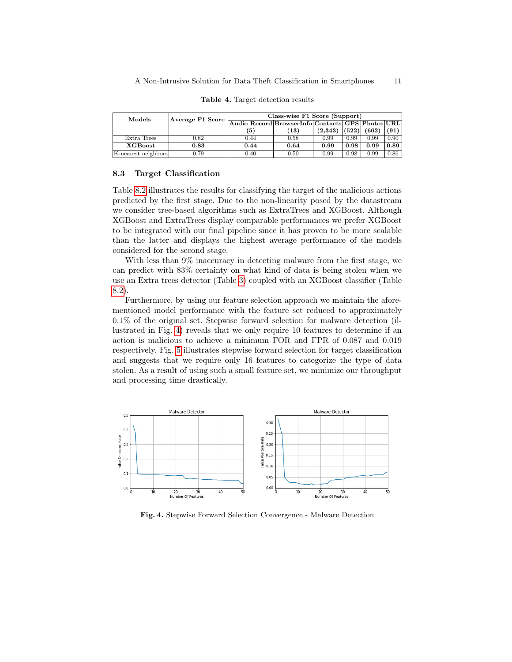| Models              | $ A$ verage F1 Score | Class-wise F1 Score (Support)                    |      |         |       |       |      |
|---------------------|----------------------|--------------------------------------------------|------|---------|-------|-------|------|
|                     |                      | Audio Record BrowserInfo Contacts GPS Photos URL |      |         |       |       |      |
|                     |                      | (5)                                              | (13) | (2.343) | (522) | (662) | (91) |
| Extra Trees         | 0.82                 | 0.44                                             | 0.58 | 0.99    | 0.99  | 0.99  | 0.90 |
| <b>XGBoost</b>      | 0.83                 | 0.44                                             | 0.64 | 0.99    | 0.98  | 0.99  | 0.89 |
| K-nearest neighbors | 0.79                 | 0.40                                             | 0.50 | 0.99    | 0.98  | 0.99  | 0.86 |

Table 4. Target detection results

#### 8.3 Target Classification

Table [8.2](#page-9-0) illustrates the results for classifying the target of the malicious actions predicted by the first stage. Due to the non-linearity posed by the datastream we consider tree-based algorithms such as ExtraTrees and XGBoost. Although XGBoost and ExtraTrees display comparable performances we prefer XGBoost to be integrated with our final pipeline since it has proven to be more scalable than the latter and displays the highest average performance of the models considered for the second stage.

With less than 9% inaccuracy in detecting malware from the first stage, we can predict with 83% certainty on what kind of data is being stolen when we use an Extra trees detector (Table [3\)](#page-7-2) coupled with an XGBoost classifier (Table [8.2\)](#page-9-0).

Furthermore, by using our feature selection approach we maintain the aforementioned model performance with the feature set reduced to approximately 0.1% of the original set. Stepwise forward selection for malware detection (illustrated in Fig. [4\)](#page-10-0) reveals that we only require 10 features to determine if an action is malicious to achieve a minimum FOR and FPR of 0.087 and 0.019 respectively. Fig. [5](#page-11-0) illustrates stepwise forward selection for target classification and suggests that we require only 16 features to categorize the type of data stolen. As a result of using such a small feature set, we minimize our throughput and processing time drastically.



<span id="page-10-0"></span>Fig. 4. Stepwise Forward Selection Convergence - Malware Detection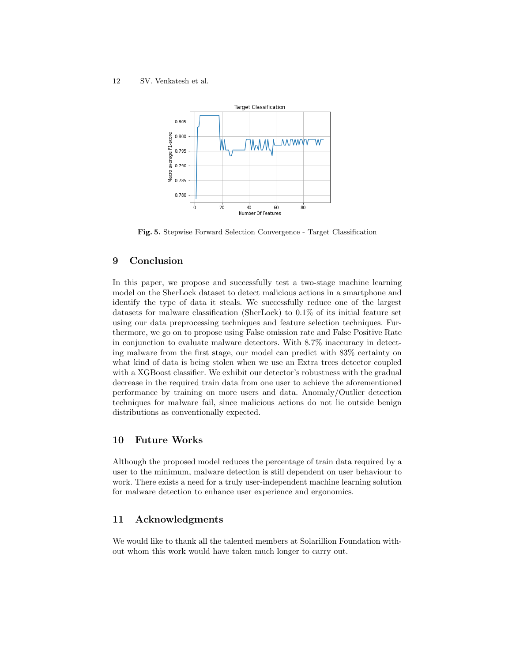

<span id="page-11-0"></span>Fig. 5. Stepwise Forward Selection Convergence - Target Classification

# 9 Conclusion

In this paper, we propose and successfully test a two-stage machine learning model on the SherLock dataset to detect malicious actions in a smartphone and identify the type of data it steals. We successfully reduce one of the largest datasets for malware classification (SherLock) to 0.1% of its initial feature set using our data preprocessing techniques and feature selection techniques. Furthermore, we go on to propose using False omission rate and False Positive Rate in conjunction to evaluate malware detectors. With 8.7% inaccuracy in detecting malware from the first stage, our model can predict with 83% certainty on what kind of data is being stolen when we use an Extra trees detector coupled with a XGBoost classifier. We exhibit our detector's robustness with the gradual decrease in the required train data from one user to achieve the aforementioned performance by training on more users and data. Anomaly/Outlier detection techniques for malware fail, since malicious actions do not lie outside benign distributions as conventionally expected.

# 10 Future Works

Although the proposed model reduces the percentage of train data required by a user to the minimum, malware detection is still dependent on user behaviour to work. There exists a need for a truly user-independent machine learning solution for malware detection to enhance user experience and ergonomics.

# 11 Acknowledgments

We would like to thank all the talented members at Solarillion Foundation without whom this work would have taken much longer to carry out.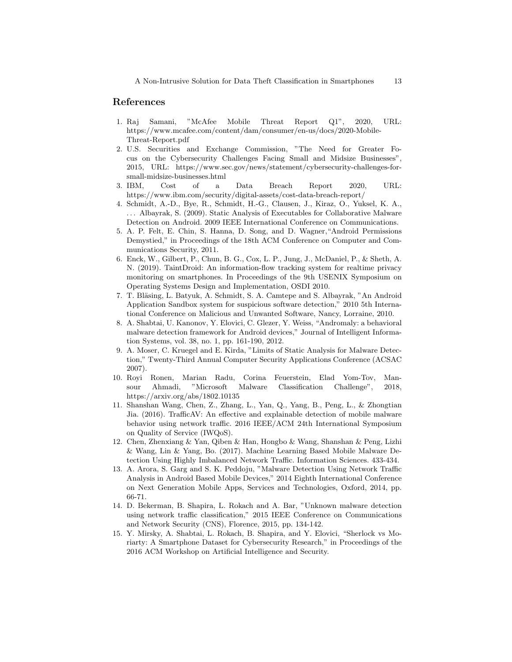## References

- <span id="page-12-0"></span>1. Raj Samani, "McAfee Mobile Threat Report Q1", 2020, URL: https://www.mcafee.com/content/dam/consumer/en-us/docs/2020-Mobile-Threat-Report.pdf
- <span id="page-12-1"></span>2. U.S. Securities and Exchange Commission, "The Need for Greater Focus on the Cybersecurity Challenges Facing Small and Midsize Businesses", 2015, URL: https://www.sec.gov/news/statement/cybersecurity-challenges-forsmall-midsize-businesses.html
- <span id="page-12-2"></span>3. IBM, Cost of a Data Breach Report 2020, URL: https://www.ibm.com/security/digital-assets/cost-data-breach-report/
- <span id="page-12-3"></span>4. Schmidt, A.-D., Bye, R., Schmidt, H.-G., Clausen, J., Kiraz, O., Yuksel, K. A., . . . Albayrak, S. (2009). Static Analysis of Executables for Collaborative Malware Detection on Android. 2009 IEEE International Conference on Communications.
- <span id="page-12-4"></span>5. A. P. Felt, E. Chin, S. Hanna, D. Song, and D. Wagner,"Android Permissions Demystied," in Proceedings of the 18th ACM Conference on Computer and Communications Security, 2011.
- <span id="page-12-5"></span>6. Enck, W., Gilbert, P., Chun, B. G., Cox, L. P., Jung, J., McDaniel, P., & Sheth, A. N. (2019). TaintDroid: An information-flow tracking system for realtime privacy monitoring on smartphones. In Proceedings of the 9th USENIX Symposium on Operating Systems Design and Implementation, OSDI 2010.
- <span id="page-12-6"></span>7. T. Bläsing, L. Batyuk, A. Schmidt, S. A. Camtepe and S. Albayrak, "An Android" Application Sandbox system for suspicious software detection," 2010 5th International Conference on Malicious and Unwanted Software, Nancy, Lorraine, 2010.
- <span id="page-12-12"></span>8. A. Shabtai, U. Kanonov, Y. Elovici, C. Glezer, Y. Weiss, "Andromaly: a behavioral malware detection framework for Android devices," Journal of Intelligent Information Systems, vol. 38, no. 1, pp. 161-190, 2012.
- <span id="page-12-7"></span>9. A. Moser, C. Kruegel and E. Kirda, "Limits of Static Analysis for Malware Detection," Twenty-Third Annual Computer Security Applications Conference (ACSAC 2007).
- <span id="page-12-10"></span>10. Royi Ronen, Marian Radu, Corina Feuerstein, Elad Yom-Tov, Mansour Ahmadi, "Microsoft Malware Classification Challenge", 2018, https://arxiv.org/abs/1802.10135
- <span id="page-12-8"></span>11. Shanshan Wang, Chen, Z., Zhang, L., Yan, Q., Yang, B., Peng, L., & Zhongtian Jia. (2016). TrafficAV: An effective and explainable detection of mobile malware behavior using network traffic. 2016 IEEE/ACM 24th International Symposium on Quality of Service (IWQoS).
- 12. Chen, Zhenxiang & Yan, Qiben & Han, Hongbo & Wang, Shanshan & Peng, Lizhi & Wang, Lin & Yang, Bo. (2017). Machine Learning Based Mobile Malware Detection Using Highly Imbalanced Network Traffic. Information Sciences. 433-434.
- <span id="page-12-13"></span>13. A. Arora, S. Garg and S. K. Peddoju, "Malware Detection Using Network Traffic Analysis in Android Based Mobile Devices," 2014 Eighth International Conference on Next Generation Mobile Apps, Services and Technologies, Oxford, 2014, pp. 66-71.
- <span id="page-12-9"></span>14. D. Bekerman, B. Shapira, L. Rokach and A. Bar, "Unknown malware detection using network traffic classification," 2015 IEEE Conference on Communications and Network Security (CNS), Florence, 2015, pp. 134-142.
- <span id="page-12-11"></span>15. Y. Mirsky, A. Shabtai, L. Rokach, B. Shapira, and Y. Elovici, "Sherlock vs Moriarty: A Smartphone Dataset for Cybersecurity Research," in Proceedings of the 2016 ACM Workshop on Artificial Intelligence and Security.